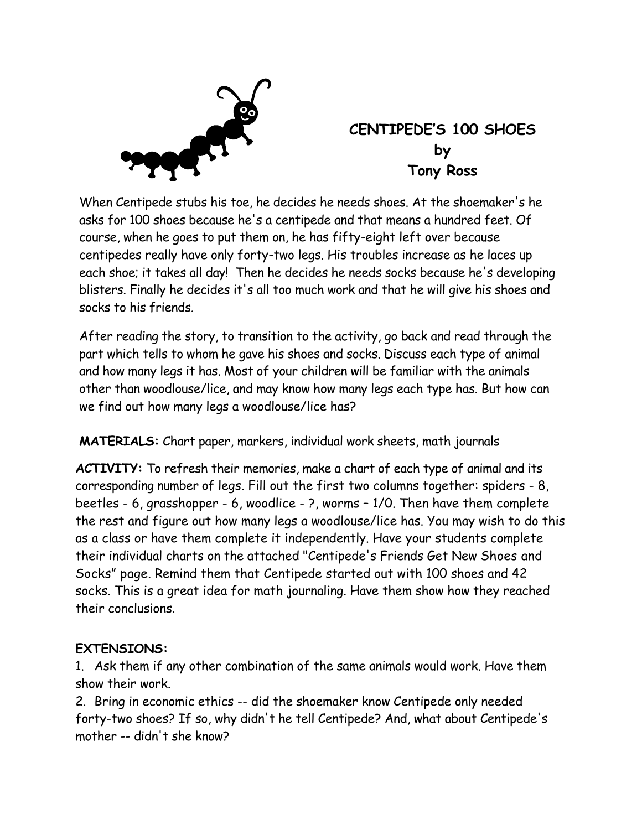

## **CENTIPEDE'S 100 SHOES by Tony Ross**

When Centipede stubs his toe, he decides he needs shoes. At the shoemaker's he asks for 100 shoes because he's a centipede and that means a hundred feet. Of course, when he goes to put them on, he has fifty-eight left over because centipedes really have only forty-two legs. His troubles increase as he laces up each shoe; it takes all day! Then he decides he needs socks because he's developing blisters. Finally he decides it's all too much work and that he will give his shoes and socks to his friends.

After reading the story, to transition to the activity, go back and read through the part which tells to whom he gave his shoes and socks. Discuss each type of animal and how many legs it has. Most of your children will be familiar with the animals other than woodlouse/lice, and may know how many legs each type has. But how can we find out how many legs a woodlouse/lice has?

**MATERIALS:** Chart paper, markers, individual work sheets, math journals

**ACTIVITY:** To refresh their memories, make a chart of each type of animal and its corresponding number of legs. Fill out the first two columns together: spiders - 8, beetles - 6, grasshopper - 6, woodlice - ?, worms – 1/0. Then have them complete the rest and figure out how many legs a woodlouse/lice has. You may wish to do this as a class or have them complete it independently. Have your students complete their individual charts on the attached "Centipede's Friends Get New Shoes and Socks" page. Remind them that Centipede started out with 100 shoes and 42 socks. This is a great idea for math journaling. Have them show how they reached their conclusions.

## **EXTENSIONS:**

1. Ask them if any other combination of the same animals would work. Have them show their work.

2. Bring in economic ethics -- did the shoemaker know Centipede only needed forty-two shoes? If so, why didn't he tell Centipede? And, what about Centipede's mother -- didn't she know?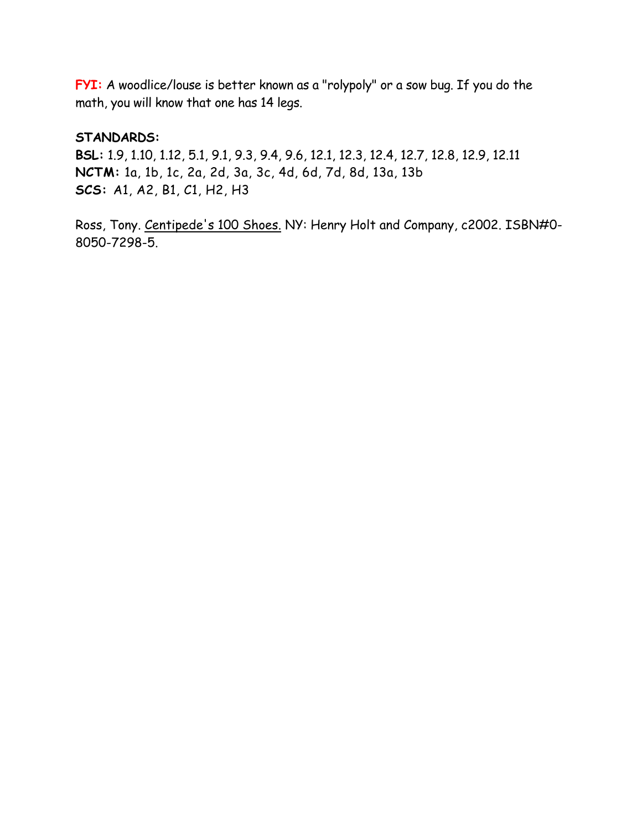**FYI:** A woodlice/louse is better known as a "rolypoly" or a sow bug. If you do the math, you will know that one has 14 legs.

## **STANDARDS:**

**BSL:** 1.9, 1.10, 1.12, 5.1, 9.1, 9.3, 9.4, 9.6, 12.1, 12.3, 12.4, 12.7, 12.8, 12.9, 12.11 **NCTM:** 1a, 1b, 1c, 2a, 2d, 3a, 3c, 4d, 6d, 7d, 8d, 13a, 13b **SCS:** A1, A2, B1, C1, H2, H3

Ross, Tony. Centipede's 100 Shoes. NY: Henry Holt and Company, c2002. ISBN#0- 8050-7298-5.